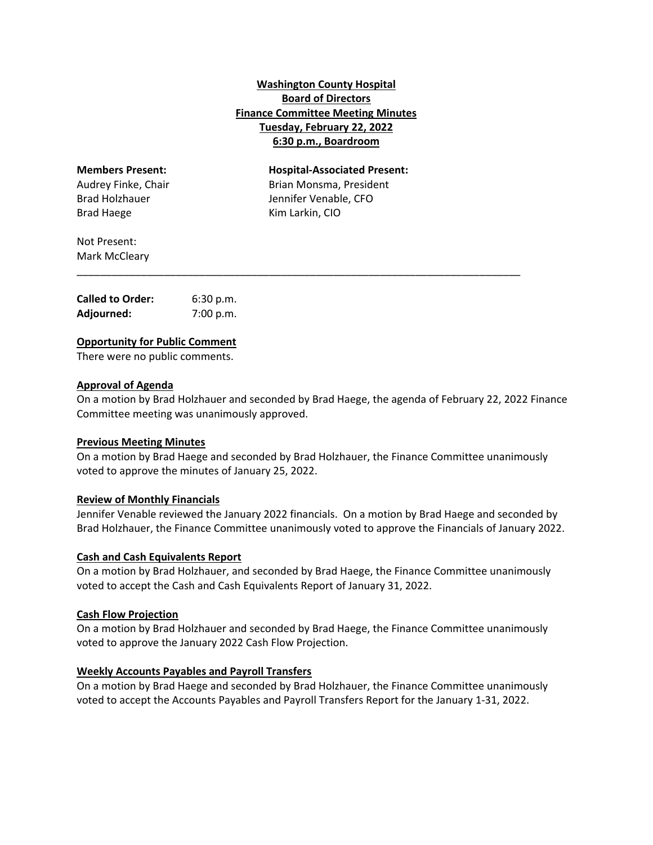# **Washington County Hospital Board of Directors Finance Committee Meeting Minutes Tuesday, February 22, 2022 6:30 p.m., Boardroom**

Brad Haege **Brad Haege** *Brad Haege Rim Larkin, CIO* 

**Members Present: Hospital‐Associated Present:** Audrey Finke, Chair **Brian Monsma, President** Brad Holzhauer Jennifer Venable, CFO

Not Present: Mark McCleary

| <b>Called to Order:</b> | 6:30 p.m. |
|-------------------------|-----------|
| Adjourned:              | 7:00 p.m. |

### **Opportunity for Public Comment**

There were no public comments.

### **Approval of Agenda**

On a motion by Brad Holzhauer and seconded by Brad Haege, the agenda of February 22, 2022 Finance Committee meeting was unanimously approved.

\_\_\_\_\_\_\_\_\_\_\_\_\_\_\_\_\_\_\_\_\_\_\_\_\_\_\_\_\_\_\_\_\_\_\_\_\_\_\_\_\_\_\_\_\_\_\_\_\_\_\_\_\_\_\_\_\_\_\_\_\_\_\_\_\_\_\_\_\_\_\_\_\_\_\_\_

#### **Previous Meeting Minutes**

On a motion by Brad Haege and seconded by Brad Holzhauer, the Finance Committee unanimously voted to approve the minutes of January 25, 2022.

#### **Review of Monthly Financials**

Jennifer Venable reviewed the January 2022 financials. On a motion by Brad Haege and seconded by Brad Holzhauer, the Finance Committee unanimously voted to approve the Financials of January 2022.

## **Cash and Cash Equivalents Report**

On a motion by Brad Holzhauer, and seconded by Brad Haege, the Finance Committee unanimously voted to accept the Cash and Cash Equivalents Report of January 31, 2022.

#### **Cash Flow Projection**

On a motion by Brad Holzhauer and seconded by Brad Haege, the Finance Committee unanimously voted to approve the January 2022 Cash Flow Projection.

## **Weekly Accounts Payables and Payroll Transfers**

On a motion by Brad Haege and seconded by Brad Holzhauer, the Finance Committee unanimously voted to accept the Accounts Payables and Payroll Transfers Report for the January 1‐31, 2022.